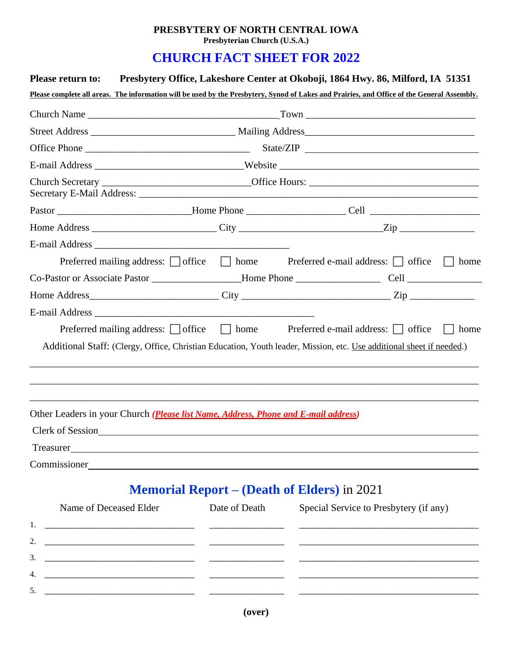## **PRESBYTERY OF NORTH CENTRAL IOWA Presbyterian Church (U.S.A.)**

## **CHURCH FACT SHEET FOR 2022**

| <b>Please return to:</b>                                                                                                                                                                                                       |                                                                                   | Presbytery Office, Lakeshore Center at Okoboji, 1864 Hwy. 86, Milford, IA 51351                                                                                                                                              |  |  |  |  |  |
|--------------------------------------------------------------------------------------------------------------------------------------------------------------------------------------------------------------------------------|-----------------------------------------------------------------------------------|------------------------------------------------------------------------------------------------------------------------------------------------------------------------------------------------------------------------------|--|--|--|--|--|
|                                                                                                                                                                                                                                |                                                                                   | Please complete all areas. The information will be used by the Presbytery, Synod of Lakes and Prairies, and Office of the General Assembly.                                                                                  |  |  |  |  |  |
|                                                                                                                                                                                                                                |                                                                                   |                                                                                                                                                                                                                              |  |  |  |  |  |
|                                                                                                                                                                                                                                |                                                                                   |                                                                                                                                                                                                                              |  |  |  |  |  |
|                                                                                                                                                                                                                                |                                                                                   |                                                                                                                                                                                                                              |  |  |  |  |  |
|                                                                                                                                                                                                                                | E-mail Address _____________________________Website _____________________________ |                                                                                                                                                                                                                              |  |  |  |  |  |
|                                                                                                                                                                                                                                |                                                                                   |                                                                                                                                                                                                                              |  |  |  |  |  |
|                                                                                                                                                                                                                                |                                                                                   |                                                                                                                                                                                                                              |  |  |  |  |  |
|                                                                                                                                                                                                                                |                                                                                   |                                                                                                                                                                                                                              |  |  |  |  |  |
|                                                                                                                                                                                                                                |                                                                                   |                                                                                                                                                                                                                              |  |  |  |  |  |
|                                                                                                                                                                                                                                |                                                                                   | Preferred mailing address: $\Box$ office $\Box$ home Preferred e-mail address: $\Box$ office<br>home                                                                                                                         |  |  |  |  |  |
|                                                                                                                                                                                                                                |                                                                                   |                                                                                                                                                                                                                              |  |  |  |  |  |
|                                                                                                                                                                                                                                |                                                                                   |                                                                                                                                                                                                                              |  |  |  |  |  |
|                                                                                                                                                                                                                                |                                                                                   |                                                                                                                                                                                                                              |  |  |  |  |  |
|                                                                                                                                                                                                                                |                                                                                   | Preferred mailing address: $\Box$ office $\Box$ home Preferred e-mail address: $\Box$ office<br>home<br>Additional Staff: (Clergy, Office, Christian Education, Youth leader, Mission, etc. Use additional sheet if needed.) |  |  |  |  |  |
|                                                                                                                                                                                                                                |                                                                                   |                                                                                                                                                                                                                              |  |  |  |  |  |
| Other Leaders in your Church (Please list Name, Address, Phone and E-mail address)                                                                                                                                             |                                                                                   |                                                                                                                                                                                                                              |  |  |  |  |  |
| Clerk of Session                                                                                                                                                                                                               |                                                                                   |                                                                                                                                                                                                                              |  |  |  |  |  |
| Treasurer                                                                                                                                                                                                                      |                                                                                   |                                                                                                                                                                                                                              |  |  |  |  |  |
| Commissioner and the commissioner and the commissioner and the commissioner and the commissioner and the commissioner and the commissioner and the commissioner and the commissioner and the commissioner and the commissioner |                                                                                   |                                                                                                                                                                                                                              |  |  |  |  |  |
|                                                                                                                                                                                                                                |                                                                                   | <b>Memorial Report – (Death of Elders) in 2021</b>                                                                                                                                                                           |  |  |  |  |  |
| Name of Deceased Elder                                                                                                                                                                                                         | Date of Death                                                                     | Special Service to Presbytery (if any)                                                                                                                                                                                       |  |  |  |  |  |

| Name of Deceased Eiger | Date of Death | Special Service to Presbytery (if any) |
|------------------------|---------------|----------------------------------------|
|                        |               |                                        |
|                        |               |                                        |
|                        |               |                                        |
|                        |               |                                        |
|                        |               |                                        |
|                        |               |                                        |